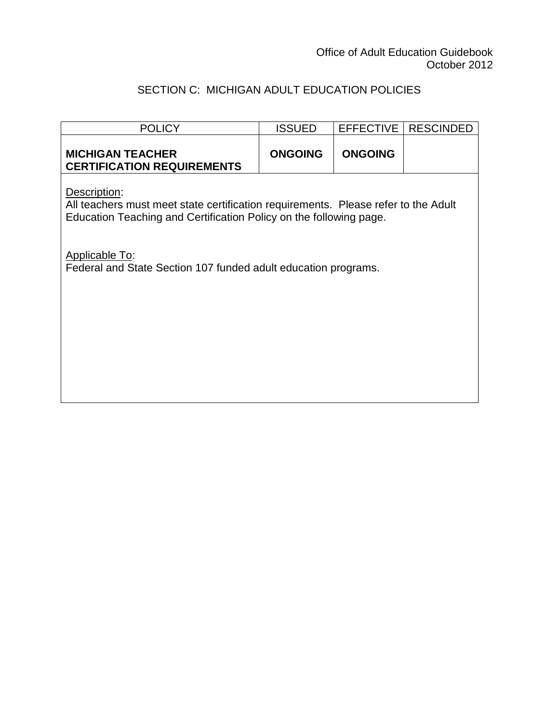## SECTION C: MICHIGAN ADULT EDUCATION POLICIES

| <b>POLICY</b>                                                                                                                                                            | <b>ISSUED</b>  | <b>EFFECTIVE</b> | <b>RESCINDED</b> |
|--------------------------------------------------------------------------------------------------------------------------------------------------------------------------|----------------|------------------|------------------|
| <b>MICHIGAN TEACHER</b><br><b>CERTIFICATION REQUIREMENTS</b>                                                                                                             | <b>ONGOING</b> | <b>ONGOING</b>   |                  |
| Description:<br>All teachers must meet state certification requirements. Please refer to the Adult<br>Education Teaching and Certification Policy on the following page. |                |                  |                  |
| <b>Applicable To:</b><br>Federal and State Section 107 funded adult education programs.                                                                                  |                |                  |                  |
|                                                                                                                                                                          |                |                  |                  |
|                                                                                                                                                                          |                |                  |                  |